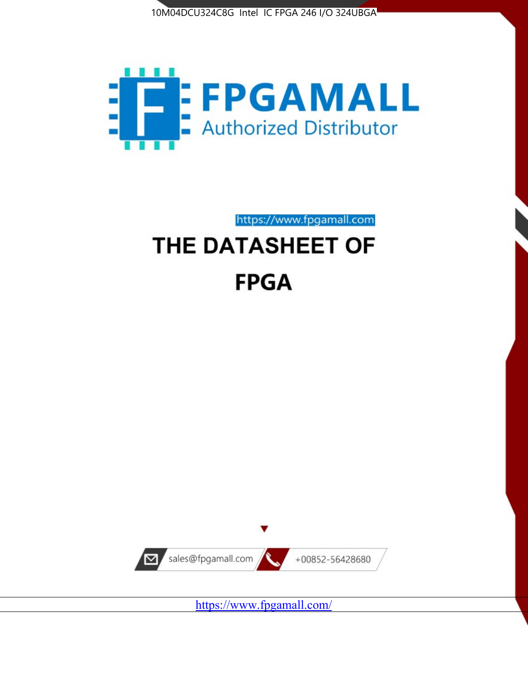



https://www.fpgamall.com THE DATASHEET OF

# **FPGA**



<https://www.fpgamall.com/>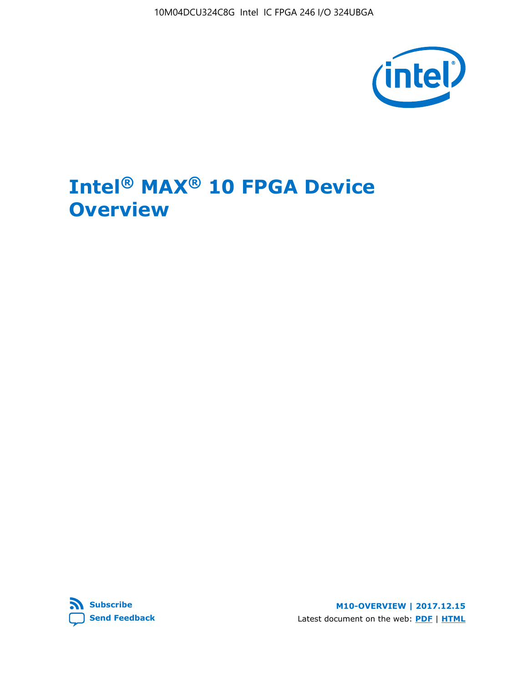10M04DCU324C8G Intel IC FPGA 246 I/O 324UBGA



## **Intel® MAX® 10 FPGA Device Overview**



**M10-OVERVIEW | 2017.12.15** Latest document on the web: **[PDF](https://www.altera.com/en_US/pdfs/literature/hb/max-10/m10_overview.pdf)** | **[HTML](https://www.altera.com/documentation/myt1396938463674.html)**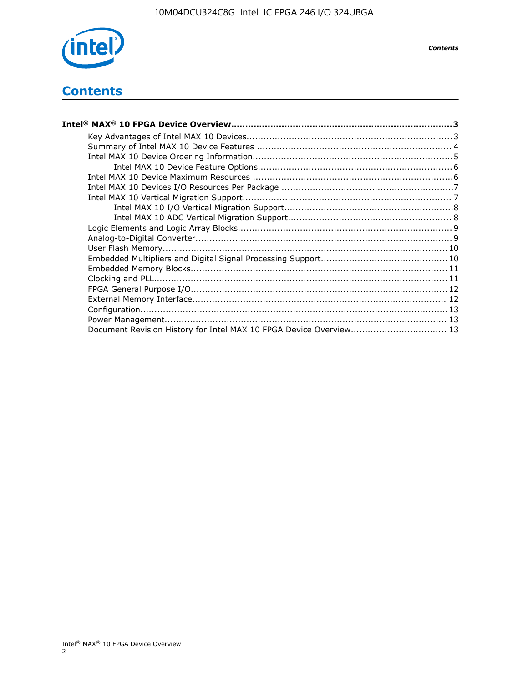

*Contents*

## **Contents**

| Intel® MAX® 10 FPGA Device Overview………………………………………………………………………………………3 |  |
|-----------------------------------------------------------------------|--|
|                                                                       |  |
|                                                                       |  |
|                                                                       |  |
|                                                                       |  |
|                                                                       |  |
|                                                                       |  |
|                                                                       |  |
|                                                                       |  |
|                                                                       |  |
|                                                                       |  |
|                                                                       |  |
|                                                                       |  |
|                                                                       |  |
|                                                                       |  |
|                                                                       |  |
|                                                                       |  |
|                                                                       |  |
|                                                                       |  |
|                                                                       |  |
| Document Revision History for Intel MAX 10 FPGA Device Overview 13    |  |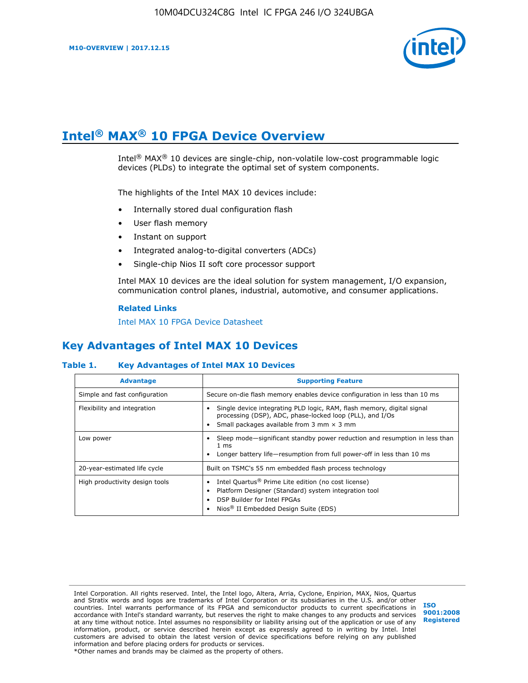

## **Intel® MAX® 10 FPGA Device Overview**

Intel<sup>®</sup> MAX<sup>®</sup> 10 devices are single-chip, non-volatile low-cost programmable logic devices (PLDs) to integrate the optimal set of system components.

The highlights of the Intel MAX 10 devices include:

- Internally stored dual configuration flash
- User flash memory
- Instant on support
- Integrated analog-to-digital converters (ADCs)
- Single-chip Nios II soft core processor support

Intel MAX 10 devices are the ideal solution for system management, I/O expansion, communication control planes, industrial, automotive, and consumer applications.

#### **Related Links**

[Intel MAX 10 FPGA Device Datasheet](https://www.altera.com/documentation/mcn1397700832153.html#mcn1397643748870)

## **Key Advantages of Intel MAX 10 Devices**

#### **Table 1. Key Advantages of Intel MAX 10 Devices**

| <b>Advantage</b>               | <b>Supporting Feature</b>                                                                                                                                                                                  |  |  |  |
|--------------------------------|------------------------------------------------------------------------------------------------------------------------------------------------------------------------------------------------------------|--|--|--|
| Simple and fast configuration  | Secure on-die flash memory enables device configuration in less than 10 ms                                                                                                                                 |  |  |  |
| Flexibility and integration    | Single device integrating PLD logic, RAM, flash memory, digital signal<br>processing (DSP), ADC, phase-locked loop (PLL), and I/Os<br>Small packages available from 3 mm $\times$ 3 mm                     |  |  |  |
| Low power                      | Sleep mode—significant standby power reduction and resumption in less than<br>$1 \text{ ms}$<br>Longer battery life-resumption from full power-off in less than 10 ms                                      |  |  |  |
| 20-year-estimated life cycle   | Built on TSMC's 55 nm embedded flash process technology                                                                                                                                                    |  |  |  |
| High productivity design tools | Intel Quartus <sup>®</sup> Prime Lite edition (no cost license)<br>Platform Designer (Standard) system integration tool<br>DSP Builder for Intel FPGAs<br>Nios <sup>®</sup> II Embedded Design Suite (EDS) |  |  |  |

Intel Corporation. All rights reserved. Intel, the Intel logo, Altera, Arria, Cyclone, Enpirion, MAX, Nios, Quartus and Stratix words and logos are trademarks of Intel Corporation or its subsidiaries in the U.S. and/or other countries. Intel warrants performance of its FPGA and semiconductor products to current specifications in accordance with Intel's standard warranty, but reserves the right to make changes to any products and services at any time without notice. Intel assumes no responsibility or liability arising out of the application or use of any information, product, or service described herein except as expressly agreed to in writing by Intel. Intel customers are advised to obtain the latest version of device specifications before relying on any published information and before placing orders for products or services. \*Other names and brands may be claimed as the property of others.

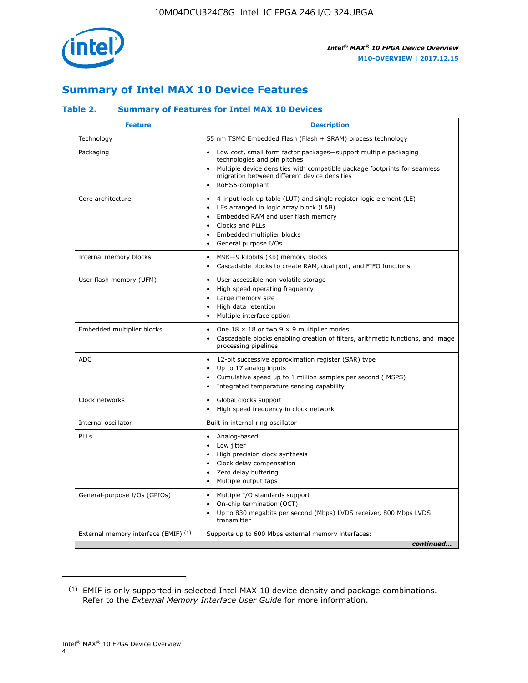

## **Summary of Intel MAX 10 Device Features**

#### **Table 2. Summary of Features for Intel MAX 10 Devices**

| <b>Feature</b>                       | <b>Description</b>                                                                                                                                                                                                                                                                                         |
|--------------------------------------|------------------------------------------------------------------------------------------------------------------------------------------------------------------------------------------------------------------------------------------------------------------------------------------------------------|
| Technology                           | 55 nm TSMC Embedded Flash (Flash + SRAM) process technology                                                                                                                                                                                                                                                |
| Packaging                            | Low cost, small form factor packages-support multiple packaging<br>technologies and pin pitches<br>Multiple device densities with compatible package footprints for seamless<br>migration between different device densities<br>RoHS6-compliant                                                            |
| Core architecture                    | 4-input look-up table (LUT) and single register logic element (LE)<br>$\bullet$<br>LEs arranged in logic array block (LAB)<br>$\bullet$<br>Embedded RAM and user flash memory<br>$\bullet$<br>Clocks and PLLs<br>$\bullet$<br>Embedded multiplier blocks<br>$\bullet$<br>General purpose I/Os<br>$\bullet$ |
| Internal memory blocks               | M9K-9 kilobits (Kb) memory blocks<br>$\bullet$<br>Cascadable blocks to create RAM, dual port, and FIFO functions<br>$\bullet$                                                                                                                                                                              |
| User flash memory (UFM)              | User accessible non-volatile storage<br>$\bullet$<br>High speed operating frequency<br>$\bullet$<br>Large memory size<br>High data retention<br>$\bullet$<br>Multiple interface option                                                                                                                     |
| Embedded multiplier blocks           | One $18 \times 18$ or two 9 $\times$ 9 multiplier modes<br>$\bullet$<br>Cascadable blocks enabling creation of filters, arithmetic functions, and image<br>processing pipelines                                                                                                                            |
| <b>ADC</b>                           | 12-bit successive approximation register (SAR) type<br>$\bullet$<br>Up to 17 analog inputs<br>$\bullet$<br>Cumulative speed up to 1 million samples per second (MSPS)<br>Integrated temperature sensing capability<br>$\bullet$                                                                            |
| Clock networks                       | Global clocks support<br>$\bullet$<br>High speed frequency in clock network                                                                                                                                                                                                                                |
| Internal oscillator                  | Built-in internal ring oscillator                                                                                                                                                                                                                                                                          |
| PLLs                                 | • Analog-based<br>Low jitter<br>$\bullet$<br>High precision clock synthesis<br>$\bullet$<br>Clock delay compensation<br>$\bullet$<br>Zero delay buffering<br>$\bullet$<br>Multiple output taps<br>$\bullet$                                                                                                |
| General-purpose I/Os (GPIOs)         | • Multiple I/O standards support<br>On-chip termination (OCT)<br>$\bullet$<br>Up to 830 megabits per second (Mbps) LVDS receiver, 800 Mbps LVDS<br>transmitter                                                                                                                                             |
| External memory interface (EMIF) (1) | Supports up to 600 Mbps external memory interfaces:<br>continued                                                                                                                                                                                                                                           |

<sup>(1)</sup> EMIF is only supported in selected Intel MAX 10 device density and package combinations. Refer to the *External Memory Interface User Guide* for more information.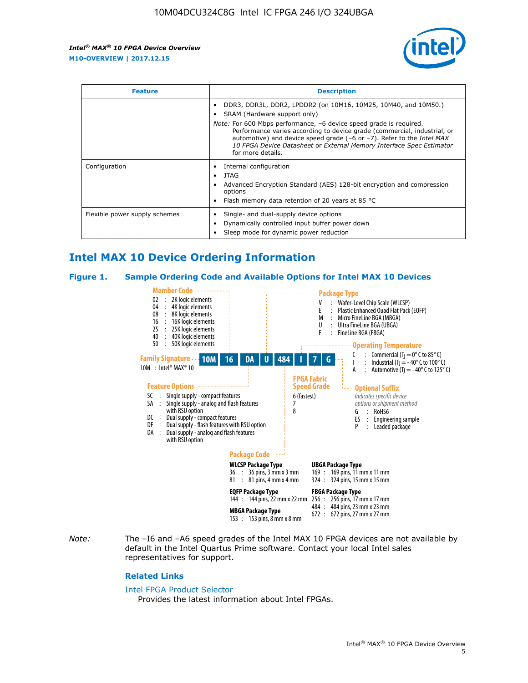

| <b>Feature</b>                | <b>Description</b>                                                                                                                                                                                                                                                                                                                                                                                                          |  |  |  |
|-------------------------------|-----------------------------------------------------------------------------------------------------------------------------------------------------------------------------------------------------------------------------------------------------------------------------------------------------------------------------------------------------------------------------------------------------------------------------|--|--|--|
|                               | DDR3, DDR3L, DDR2, LPDDR2 (on 10M16, 10M25, 10M40, and 10M50.)<br>SRAM (Hardware support only)<br><i>Note:</i> For 600 Mbps performance, -6 device speed grade is required.<br>Performance varies according to device grade (commercial, industrial, or<br>automotive) and device speed grade $(-6 \text{ or } -7)$ . Refer to the <i>Intel MAX</i><br>10 FPGA Device Datasheet or External Memory Interface Spec Estimator |  |  |  |
|                               | for more details.                                                                                                                                                                                                                                                                                                                                                                                                           |  |  |  |
| Configuration                 | Internal configuration<br>JTAG<br>٠<br>Advanced Encryption Standard (AES) 128-bit encryption and compression<br>options<br>Flash memory data retention of 20 years at 85 °C                                                                                                                                                                                                                                                 |  |  |  |
| Flexible power supply schemes | Single- and dual-supply device options<br>Dynamically controlled input buffer power down<br>Sleep mode for dynamic power reduction                                                                                                                                                                                                                                                                                          |  |  |  |

## **Intel MAX 10 Device Ordering Information**

#### **Figure 1. Sample Ordering Code and Available Options for Intel MAX 10 Devices**



*Note:* The –I6 and –A6 speed grades of the Intel MAX 10 FPGA devices are not available by default in the Intel Quartus Prime software. Contact your local Intel sales representatives for support.

#### **Related Links**

#### [Intel FPGA Product Selector](http://www.altera.com/products/selector/psg-selector.html)

Provides the latest information about Intel FPGAs.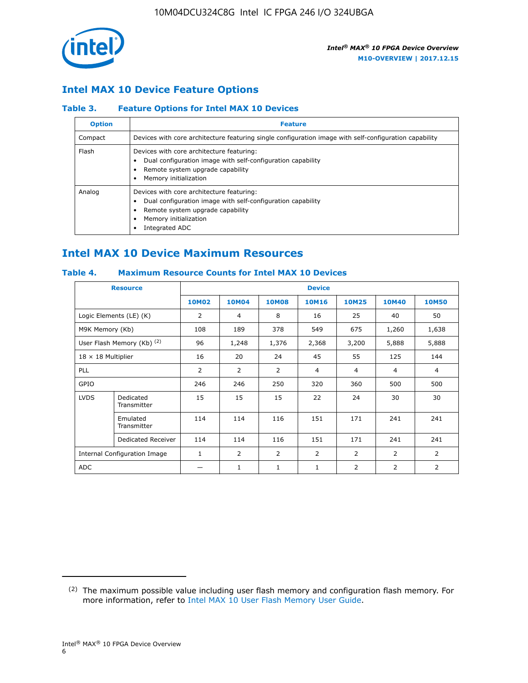

## **Intel MAX 10 Device Feature Options**

#### **Table 3. Feature Options for Intel MAX 10 Devices**

| <b>Option</b> | <b>Feature</b>                                                                                                                                                                          |
|---------------|-----------------------------------------------------------------------------------------------------------------------------------------------------------------------------------------|
| Compact       | Devices with core architecture featuring single configuration image with self-configuration capability                                                                                  |
| Flash         | Devices with core architecture featuring:<br>Dual configuration image with self-configuration capability<br>Remote system upgrade capability<br>Memory initialization                   |
| Analog        | Devices with core architecture featuring:<br>Dual configuration image with self-configuration capability<br>Remote system upgrade capability<br>Memory initialization<br>Integrated ADC |

## **Intel MAX 10 Device Maximum Resources**

#### **Table 4. Maximum Resource Counts for Intel MAX 10 Devices**

| <b>Resource</b>              |                            |              |                |              | <b>Device</b>  |                |              |                |
|------------------------------|----------------------------|--------------|----------------|--------------|----------------|----------------|--------------|----------------|
|                              |                            | <b>10M02</b> | 10M04          | <b>10M08</b> | <b>10M16</b>   | <b>10M25</b>   | <b>10M40</b> | <b>10M50</b>   |
|                              | Logic Elements (LE) (K)    | 2            | 4              | 8            | 16             | 25             | 40           | 50             |
| M9K Memory (Kb)              |                            | 108          | 189            | 378          | 549            | 675            | 1,260        | 1,638          |
|                              | User Flash Memory (Kb) (2) | 96           | 1,248          | 1,376        | 2,368          | 3,200          | 5,888        | 5,888          |
| $18 \times 18$ Multiplier    |                            | 16           | 20             | 24           | 45             | 55             | 125          | 144            |
| <b>PLL</b>                   |                            | 2            | $\overline{2}$ | 2            | $\overline{4}$ | $\overline{4}$ | 4            | $\overline{4}$ |
| GPIO                         |                            | 246          | 246            | 250          | 320            | 360            | 500          | 500            |
| <b>LVDS</b>                  | Dedicated<br>Transmitter   | 15           | 15             | 15           | 22             | 24             | 30           | 30             |
|                              | Emulated<br>Transmitter    | 114          | 114            | 116          | 151            | 171            | 241          | 241            |
|                              | Dedicated Receiver         | 114          | 114            | 116          | 151            | 171            | 241          | 241            |
| Internal Configuration Image |                            | $\mathbf{1}$ | $\overline{2}$ | 2            | $\overline{2}$ | $\overline{2}$ | 2            | $\overline{2}$ |
| ADC                          |                            |              | 1              | $\mathbf{1}$ | $\mathbf{1}$   | 2              | 2            | 2              |

<sup>(2)</sup> The maximum possible value including user flash memory and configuration flash memory. For more information, refer to [Intel MAX 10 User Flash Memory User Guide](https://www.altera.com/documentation/vgo1395753117436.html#vgo1395811844282).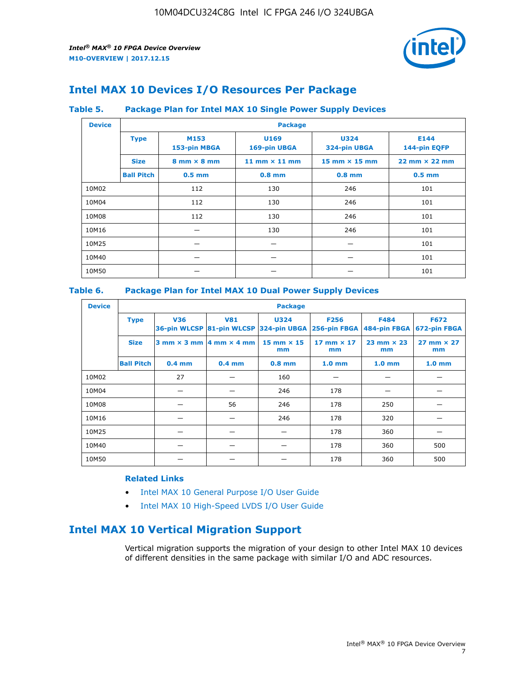

## **Intel MAX 10 Devices I/O Resources Per Package**

#### **Table 5. Package Plan for Intel MAX 10 Single Power Supply Devices**

| <b>Device</b> |                   | <b>Package</b>                     |                      |                             |                                      |  |  |  |  |
|---------------|-------------------|------------------------------------|----------------------|-----------------------------|--------------------------------------|--|--|--|--|
|               | <b>Type</b>       | M153<br>153-pin MBGA               | U169<br>169-pin UBGA | <b>U324</b><br>324-pin UBGA | E144<br>144-pin EQFP                 |  |  |  |  |
|               | <b>Size</b>       | $8 \text{ mm} \times 8 \text{ mm}$ | 11 mm $\times$ 11 mm | $15$ mm $\times$ 15 mm      | $22 \text{ mm} \times 22 \text{ mm}$ |  |  |  |  |
|               | <b>Ball Pitch</b> | $0.5$ mm                           | $0.8$ mm             | $0.8$ mm                    | $0.5$ mm                             |  |  |  |  |
| 10M02         |                   | 112                                | 130                  | 246                         | 101                                  |  |  |  |  |
| 10M04         |                   | 112                                | 130                  | 246                         | 101                                  |  |  |  |  |
| 10M08         |                   | 112                                | 130                  | 246                         | 101                                  |  |  |  |  |
| 10M16         |                   |                                    | 130                  | 246                         | 101                                  |  |  |  |  |
| 10M25         |                   |                                    |                      |                             | 101                                  |  |  |  |  |
| 10M40         |                   |                                    |                      |                             | 101                                  |  |  |  |  |
| 10M50         |                   |                                    |                      |                             | 101                                  |  |  |  |  |

#### **Table 6. Package Plan for Intel MAX 10 Dual Power Supply Devices**

| <b>Device</b> |                   | <b>Package</b> |                                                |                                                                    |                           |                           |                             |  |  |  |
|---------------|-------------------|----------------|------------------------------------------------|--------------------------------------------------------------------|---------------------------|---------------------------|-----------------------------|--|--|--|
|               | <b>Type</b>       | <b>V36</b>     | <b>V81</b>                                     | <b>U324</b><br>36-pin WLCSP 81-pin WLCSP 324-pin UBGA 256-pin FBGA | <b>F256</b>               | F484<br>484-pin FBGA      | <b>F672</b><br>672-pin FBGA |  |  |  |
|               | <b>Size</b>       |                | $3$ mm $\times$ 3 mm $ 4$ mm $\times$ 4 mm $ $ | 15 mm $\times$ 15<br>mm                                            | $17$ mm $\times$ 17<br>mm | $23$ mm $\times$ 23<br>mm | $27$ mm $\times$ 27<br>mm   |  |  |  |
|               | <b>Ball Pitch</b> | $0.4$ mm       | $0.4$ mm                                       | $0.8$ mm                                                           | 1.0 <sub>mm</sub>         | 1.0 <sub>mm</sub>         | 1.0 <sub>mm</sub>           |  |  |  |
| 10M02         |                   | 27             |                                                | 160                                                                |                           |                           |                             |  |  |  |
| 10M04         |                   |                |                                                | 246                                                                | 178                       |                           |                             |  |  |  |
| 10M08         |                   |                | 56                                             | 246                                                                | 178                       | 250                       |                             |  |  |  |
| 10M16         |                   |                |                                                | 246                                                                | 178                       | 320                       |                             |  |  |  |
| 10M25         |                   |                |                                                |                                                                    | 178                       | 360                       |                             |  |  |  |
| 10M40         |                   |                |                                                |                                                                    | 178                       | 360                       | 500                         |  |  |  |
| 10M50         |                   |                |                                                |                                                                    | 178                       | 360                       | 500                         |  |  |  |

#### **Related Links**

- [Intel MAX 10 General Purpose I/O User Guide](https://www.altera.com/documentation/sam1393999966669.html#sam1394000084476)
- [Intel MAX 10 High-Speed LVDS I/O User Guide](https://www.altera.com/documentation/sam1394433606063.html#sam1394433911642)

## **Intel MAX 10 Vertical Migration Support**

Vertical migration supports the migration of your design to other Intel MAX 10 devices of different densities in the same package with similar I/O and ADC resources.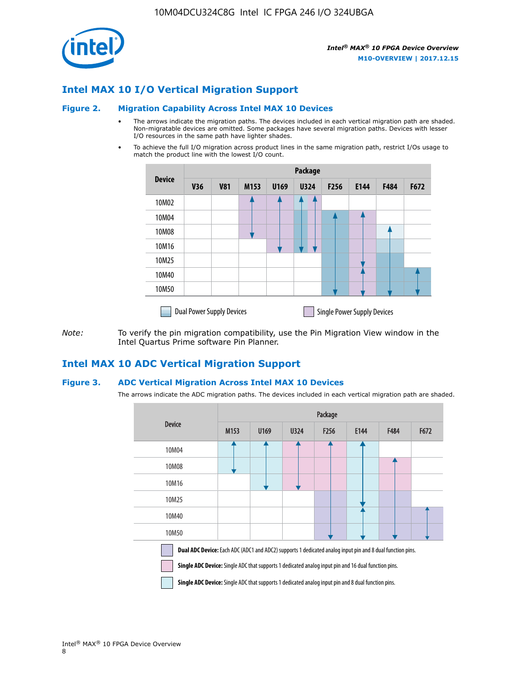

## **Intel MAX 10 I/O Vertical Migration Support**

#### **Figure 2. Migration Capability Across Intel MAX 10 Devices**

- The arrows indicate the migration paths. The devices included in each vertical migration path are shaded. Non-migratable devices are omitted. Some packages have several migration paths. Devices with lesser I/O resources in the same path have lighter shades.
- To achieve the full I/O migration across product lines in the same migration path, restrict I/Os usage to match the product line with the lowest I/O count.

|               | <b>Package</b>                   |            |      |      |             |                  |                                    |      |      |  |
|---------------|----------------------------------|------------|------|------|-------------|------------------|------------------------------------|------|------|--|
| <b>Device</b> | <b>V36</b>                       | <b>V81</b> | M153 | U169 | <b>U324</b> | F <sub>256</sub> | E144                               | F484 | F672 |  |
| 10M02         |                                  |            |      |      | 7           |                  |                                    |      |      |  |
| 10M04         |                                  |            |      |      |             |                  |                                    |      |      |  |
| 10M08         |                                  |            |      |      |             |                  |                                    |      |      |  |
| 10M16         |                                  |            |      |      |             |                  |                                    |      |      |  |
| 10M25         |                                  |            |      |      |             |                  |                                    |      |      |  |
| 10M40         |                                  |            |      |      |             |                  |                                    |      |      |  |
| 10M50         |                                  |            |      |      |             |                  |                                    |      |      |  |
|               | <b>Dual Power Supply Devices</b> |            |      |      |             |                  | <b>Single Power Supply Devices</b> |      |      |  |

*Note:* To verify the pin migration compatibility, use the Pin Migration View window in the Intel Quartus Prime software Pin Planner.

#### **Intel MAX 10 ADC Vertical Migration Support**

#### **Figure 3. ADC Vertical Migration Across Intel MAX 10 Devices**

The arrows indicate the ADC migration paths. The devices included in each vertical migration path are shaded.

|                                                                                                                                                                                                                         | Package |      |      |                  |      |      |      |  |  |
|-------------------------------------------------------------------------------------------------------------------------------------------------------------------------------------------------------------------------|---------|------|------|------------------|------|------|------|--|--|
| <b>Device</b>                                                                                                                                                                                                           | M153    | U169 | U324 | F <sub>256</sub> | E144 | F484 | F672 |  |  |
| 10M04                                                                                                                                                                                                                   |         |      |      |                  |      |      |      |  |  |
| 10M08                                                                                                                                                                                                                   |         |      |      |                  |      |      |      |  |  |
| 10M16                                                                                                                                                                                                                   |         |      |      |                  |      |      |      |  |  |
| 10M25                                                                                                                                                                                                                   |         |      |      |                  |      |      |      |  |  |
| 10M40                                                                                                                                                                                                                   |         |      |      |                  |      |      |      |  |  |
| 10M50                                                                                                                                                                                                                   |         |      |      |                  |      |      |      |  |  |
| Dual ADC Device: Each ADC (ADC1 and ADC2) supports 1 dedicated analog input pin and 8 dual function pins.<br><b>Single ADC Device:</b> Single ADC that supports 1 dedicated analog input pin and 16 dual function pins. |         |      |      |                  |      |      |      |  |  |

**Single ADC Device:** Single ADC that supports 1 dedicated analog input pin and 8 dual function pins.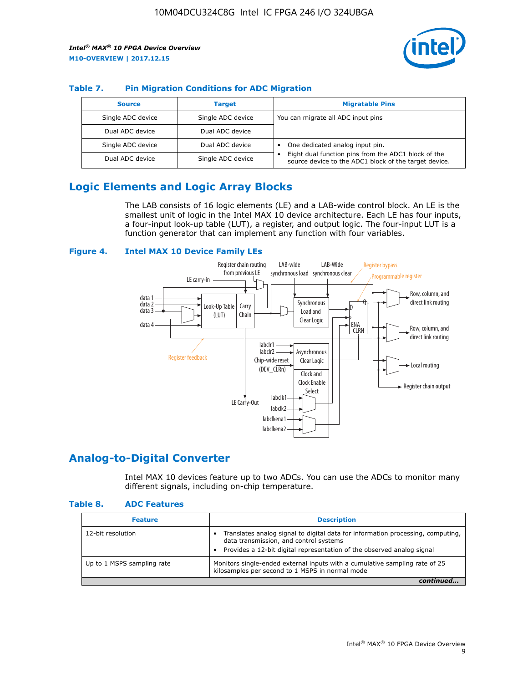

#### **Table 7. Pin Migration Conditions for ADC Migration**

| <b>Source</b>     | <b>Target</b>     | <b>Migratable Pins</b>                                                                                            |
|-------------------|-------------------|-------------------------------------------------------------------------------------------------------------------|
| Single ADC device | Single ADC device | You can migrate all ADC input pins                                                                                |
| Dual ADC device   | Dual ADC device   |                                                                                                                   |
| Single ADC device | Dual ADC device   | One dedicated analog input pin.                                                                                   |
| Dual ADC device   | Single ADC device | Eight dual function pins from the ADC1 block of the<br>٠<br>source device to the ADC1 block of the target device. |

## **Logic Elements and Logic Array Blocks**

The LAB consists of 16 logic elements (LE) and a LAB-wide control block. An LE is the smallest unit of logic in the Intel MAX 10 device architecture. Each LE has four inputs, a four-input look-up table (LUT), a register, and output logic. The four-input LUT is a function generator that can implement any function with four variables.

#### **Figure 4. Intel MAX 10 Device Family LEs**



#### **Analog-to-Digital Converter**

Intel MAX 10 devices feature up to two ADCs. You can use the ADCs to monitor many different signals, including on-chip temperature.

#### **Table 8. ADC Features**

| <b>Feature</b>             | <b>Description</b>                                                                                                                                                                                  |
|----------------------------|-----------------------------------------------------------------------------------------------------------------------------------------------------------------------------------------------------|
| 12-bit resolution          | Translates analog signal to digital data for information processing, computing,<br>data transmission, and control systems<br>Provides a 12-bit digital representation of the observed analog signal |
| Up to 1 MSPS sampling rate | Monitors single-ended external inputs with a cumulative sampling rate of 25<br>kilosamples per second to 1 MSPS in normal mode                                                                      |
|                            |                                                                                                                                                                                                     |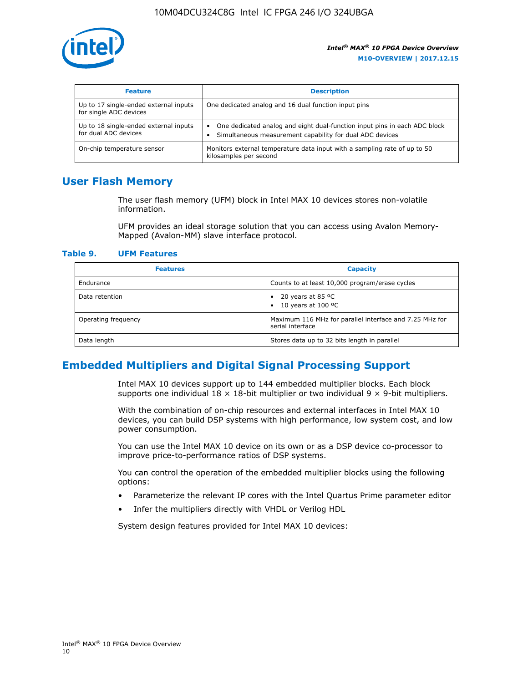

| <b>Feature</b>                                                  | <b>Description</b>                                                                                                                         |
|-----------------------------------------------------------------|--------------------------------------------------------------------------------------------------------------------------------------------|
| Up to 17 single-ended external inputs<br>for single ADC devices | One dedicated analog and 16 dual function input pins                                                                                       |
| Up to 18 single-ended external inputs<br>for dual ADC devices   | One dedicated analog and eight dual-function input pins in each ADC block<br>٠<br>Simultaneous measurement capability for dual ADC devices |
| On-chip temperature sensor                                      | Monitors external temperature data input with a sampling rate of up to 50<br>kilosamples per second                                        |

## **User Flash Memory**

The user flash memory (UFM) block in Intel MAX 10 devices stores non-volatile information.

UFM provides an ideal storage solution that you can access using Avalon Memory-Mapped (Avalon-MM) slave interface protocol.

#### **Table 9. UFM Features**

| <b>Features</b>     | <b>Capacity</b>                                                             |
|---------------------|-----------------------------------------------------------------------------|
| Endurance           | Counts to at least 10,000 program/erase cycles                              |
| Data retention      | 20 years at 85 $^{\circ}$ C<br>٠<br>10 years at 100 °C<br>$\bullet$         |
| Operating frequency | Maximum 116 MHz for parallel interface and 7.25 MHz for<br>serial interface |
| Data length         | Stores data up to 32 bits length in parallel                                |

## **Embedded Multipliers and Digital Signal Processing Support**

Intel MAX 10 devices support up to 144 embedded multiplier blocks. Each block supports one individual  $18 \times 18$ -bit multiplier or two individual  $9 \times 9$ -bit multipliers.

With the combination of on-chip resources and external interfaces in Intel MAX 10 devices, you can build DSP systems with high performance, low system cost, and low power consumption.

You can use the Intel MAX 10 device on its own or as a DSP device co-processor to improve price-to-performance ratios of DSP systems.

You can control the operation of the embedded multiplier blocks using the following options:

- Parameterize the relevant IP cores with the Intel Quartus Prime parameter editor
- Infer the multipliers directly with VHDL or Verilog HDL

System design features provided for Intel MAX 10 devices: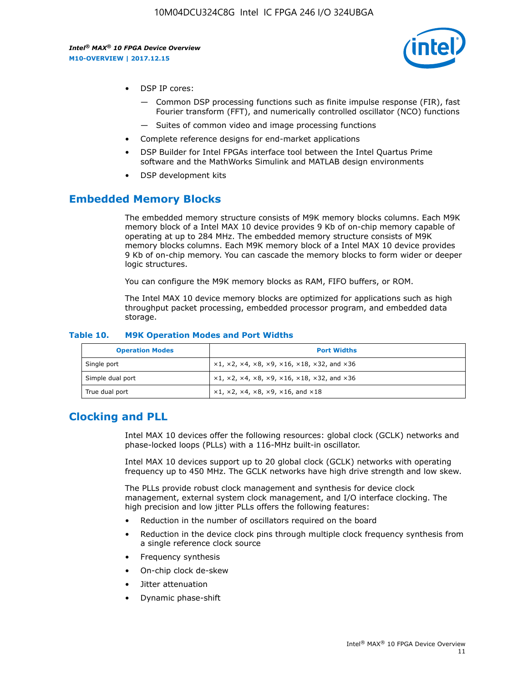

- DSP IP cores:
	- Common DSP processing functions such as finite impulse response (FIR), fast Fourier transform (FFT), and numerically controlled oscillator (NCO) functions
	- Suites of common video and image processing functions
- Complete reference designs for end-market applications
- DSP Builder for Intel FPGAs interface tool between the Intel Quartus Prime software and the MathWorks Simulink and MATLAB design environments
- DSP development kits

#### **Embedded Memory Blocks**

The embedded memory structure consists of M9K memory blocks columns. Each M9K memory block of a Intel MAX 10 device provides 9 Kb of on-chip memory capable of operating at up to 284 MHz. The embedded memory structure consists of M9K memory blocks columns. Each M9K memory block of a Intel MAX 10 device provides 9 Kb of on-chip memory. You can cascade the memory blocks to form wider or deeper logic structures.

You can configure the M9K memory blocks as RAM, FIFO buffers, or ROM.

The Intel MAX 10 device memory blocks are optimized for applications such as high throughput packet processing, embedded processor program, and embedded data storage.

| <b>Operation Modes</b> | <b>Port Widths</b>                                                            |
|------------------------|-------------------------------------------------------------------------------|
| Single port            | $x1, x2, x4, x8, x9, x16, x18, x32, and x36$                                  |
| Simple dual port       | $x1, x2, x4, x8, x9, x16, x18, x32, and x36$                                  |
| True dual port         | $\times1, \times2, \times4, \times8, \times9, \times16, \text{and } \times18$ |

#### **Table 10. M9K Operation Modes and Port Widths**

## **Clocking and PLL**

Intel MAX 10 devices offer the following resources: global clock (GCLK) networks and phase-locked loops (PLLs) with a 116-MHz built-in oscillator.

Intel MAX 10 devices support up to 20 global clock (GCLK) networks with operating frequency up to 450 MHz. The GCLK networks have high drive strength and low skew.

The PLLs provide robust clock management and synthesis for device clock management, external system clock management, and I/O interface clocking. The high precision and low jitter PLLs offers the following features:

- Reduction in the number of oscillators required on the board
- Reduction in the device clock pins through multiple clock frequency synthesis from a single reference clock source
- Frequency synthesis
- On-chip clock de-skew
- Jitter attenuation
- Dynamic phase-shift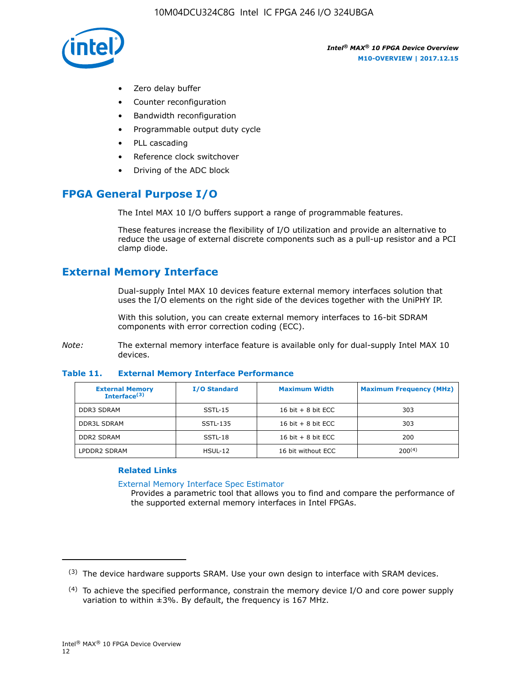

- Zero delay buffer
- Counter reconfiguration
- Bandwidth reconfiguration
- Programmable output duty cycle
- PLL cascading
- Reference clock switchover
- Driving of the ADC block

## **FPGA General Purpose I/O**

The Intel MAX 10 I/O buffers support a range of programmable features.

These features increase the flexibility of I/O utilization and provide an alternative to reduce the usage of external discrete components such as a pull-up resistor and a PCI clamp diode.

## **External Memory Interface**

Dual-supply Intel MAX 10 devices feature external memory interfaces solution that uses the I/O elements on the right side of the devices together with the UniPHY IP.

With this solution, you can create external memory interfaces to 16-bit SDRAM components with error correction coding (ECC).

*Note:* The external memory interface feature is available only for dual-supply Intel MAX 10 devices.

#### **Table 11. External Memory Interface Performance**

| <b>External Memory</b><br>Interface $(3)$ | <b>I/O Standard</b> | <b>Maximum Width</b> | <b>Maximum Frequency (MHz)</b> |
|-------------------------------------------|---------------------|----------------------|--------------------------------|
| <b>DDR3 SDRAM</b>                         | $SSTL-15$           | 16 bit $+8$ bit ECC  | 303                            |
| <b>DDR3L SDRAM</b>                        | SSTL-135            | 16 bit $+8$ bit ECC  | 303                            |
| <b>DDR2 SDRAM</b>                         | SSTL-18             | 16 bit $+8$ bit ECC  | 200                            |
| LPDDR2 SDRAM                              | HSUL-12             | 16 bit without ECC   | 200(4)                         |

#### **Related Links**

[External Memory Interface Spec Estimator](http://www.altera.com/technology/memory/estimator/mem-emif-index.html)

Provides a parametric tool that allows you to find and compare the performance of the supported external memory interfaces in Intel FPGAs.

 $(3)$  The device hardware supports SRAM. Use your own design to interface with SRAM devices.

 $(4)$  To achieve the specified performance, constrain the memory device I/O and core power supply variation to within ±3%. By default, the frequency is 167 MHz.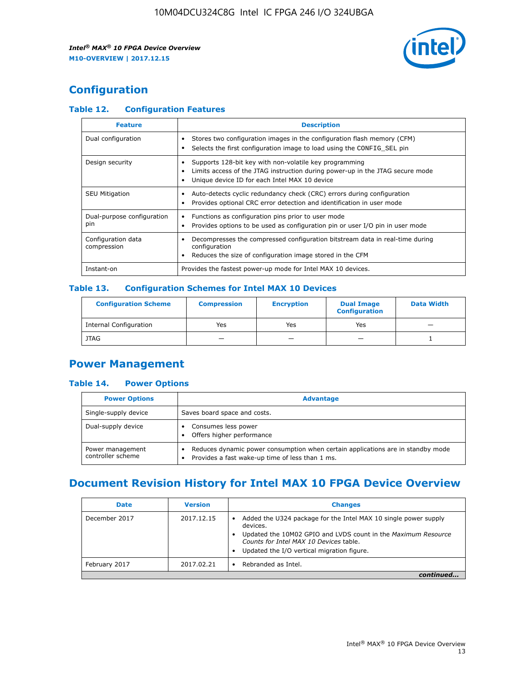

## **Configuration**

#### **Table 12. Configuration Features**

| <b>Feature</b>                    | <b>Description</b>                                                                                                                                                                       |
|-----------------------------------|------------------------------------------------------------------------------------------------------------------------------------------------------------------------------------------|
| Dual configuration                | Stores two configuration images in the configuration flash memory (CFM)<br>Selects the first configuration image to load using the CONFIG SEL pin<br>$\bullet$                           |
| Design security                   | Supports 128-bit key with non-volatile key programming<br>Limits access of the JTAG instruction during power-up in the JTAG secure mode<br>Unique device ID for each Intel MAX 10 device |
| <b>SEU Mitigation</b>             | Auto-detects cyclic redundancy check (CRC) errors during configuration<br>Provides optional CRC error detection and identification in user mode                                          |
| Dual-purpose configuration<br>pin | Functions as configuration pins prior to user mode<br>Provides options to be used as configuration pin or user I/O pin in user mode                                                      |
| Configuration data<br>compression | Decompresses the compressed configuration bitstream data in real-time during<br>configuration<br>Reduces the size of configuration image stored in the CFM                               |
| Instant-on                        | Provides the fastest power-up mode for Intel MAX 10 devices.                                                                                                                             |

#### **Table 13. Configuration Schemes for Intel MAX 10 Devices**

| <b>Configuration Scheme</b>   | <b>Compression</b>       | <b>Encryption</b> | <b>Dual Image</b><br><b>Configuration</b> | <b>Data Width</b> |
|-------------------------------|--------------------------|-------------------|-------------------------------------------|-------------------|
| <b>Internal Configuration</b> | Yes                      | Yes               | Yes                                       |                   |
| <b>JTAG</b>                   | $\overline{\phantom{a}}$ |                   | -                                         |                   |

## **Power Management**

#### **Table 14. Power Options**

| <b>Power Options</b>                  | <b>Advantage</b>                                                                                                                   |  |
|---------------------------------------|------------------------------------------------------------------------------------------------------------------------------------|--|
| Single-supply device                  | Saves board space and costs.                                                                                                       |  |
| Dual-supply device                    | Consumes less power<br>Offers higher performance                                                                                   |  |
| Power management<br>controller scheme | Reduces dynamic power consumption when certain applications are in standby mode<br>Provides a fast wake-up time of less than 1 ms. |  |

## **Document Revision History for Intel MAX 10 FPGA Device Overview**

| <b>Date</b>   | <b>Version</b> | <b>Changes</b>                                                                                                                                                                                                                       |
|---------------|----------------|--------------------------------------------------------------------------------------------------------------------------------------------------------------------------------------------------------------------------------------|
| December 2017 | 2017.12.15     | Added the U324 package for the Intel MAX 10 single power supply<br>devices.<br>Updated the 10M02 GPIO and LVDS count in the Maximum Resource<br>Counts for Intel MAX 10 Devices table.<br>Updated the I/O vertical migration figure. |
| February 2017 | 2017.02.21     | Rebranded as Intel.                                                                                                                                                                                                                  |
|               |                |                                                                                                                                                                                                                                      |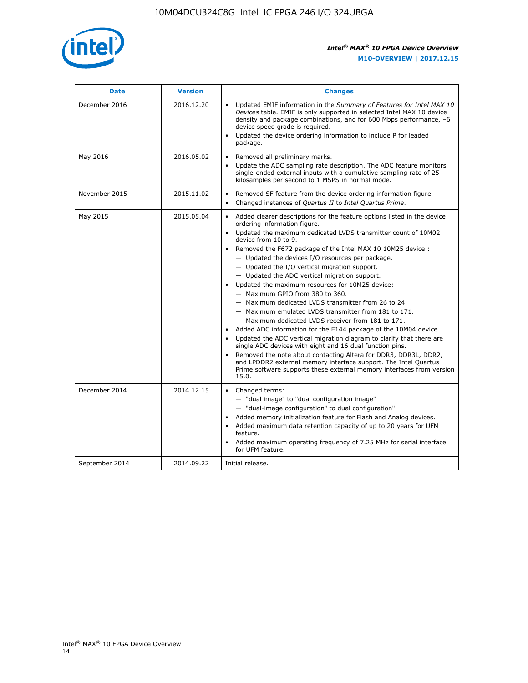

| <b>Date</b>    | <b>Version</b> | <b>Changes</b>                                                                                                                                                                                                                                                                                                                                                                                                                                                                                                                                                                                                                                                                                                                                                                                                                                                                                                                                                                                                                                                                                                                                           |  |
|----------------|----------------|----------------------------------------------------------------------------------------------------------------------------------------------------------------------------------------------------------------------------------------------------------------------------------------------------------------------------------------------------------------------------------------------------------------------------------------------------------------------------------------------------------------------------------------------------------------------------------------------------------------------------------------------------------------------------------------------------------------------------------------------------------------------------------------------------------------------------------------------------------------------------------------------------------------------------------------------------------------------------------------------------------------------------------------------------------------------------------------------------------------------------------------------------------|--|
| December 2016  | 2016.12.20     | • Updated EMIF information in the Summary of Features for Intel MAX 10<br>Devices table. EMIF is only supported in selected Intel MAX 10 device<br>density and package combinations, and for 600 Mbps performance, -6<br>device speed grade is required.<br>Updated the device ordering information to include P for leaded<br>package.                                                                                                                                                                                                                                                                                                                                                                                                                                                                                                                                                                                                                                                                                                                                                                                                                  |  |
| May 2016       | 2016.05.02     | Removed all preliminary marks.<br>Update the ADC sampling rate description. The ADC feature monitors<br>$\bullet$<br>single-ended external inputs with a cumulative sampling rate of 25<br>kilosamples per second to 1 MSPS in normal mode.                                                                                                                                                                                                                                                                                                                                                                                                                                                                                                                                                                                                                                                                                                                                                                                                                                                                                                              |  |
| November 2015  | 2015.11.02     | Removed SF feature from the device ordering information figure.<br>$\bullet$<br>Changed instances of Quartus II to Intel Quartus Prime.<br>$\bullet$                                                                                                                                                                                                                                                                                                                                                                                                                                                                                                                                                                                                                                                                                                                                                                                                                                                                                                                                                                                                     |  |
| May 2015       | 2015.05.04     | Added clearer descriptions for the feature options listed in the device<br>$\bullet$<br>ordering information figure.<br>Updated the maximum dedicated LVDS transmitter count of 10M02<br>$\bullet$<br>device from 10 to 9.<br>Removed the F672 package of the Intel MAX 10 10M25 device :<br>- Updated the devices I/O resources per package.<br>$-$ Updated the I/O vertical migration support.<br>- Updated the ADC vertical migration support.<br>Updated the maximum resources for 10M25 device:<br>- Maximum GPIO from 380 to 360.<br>- Maximum dedicated LVDS transmitter from 26 to 24.<br>- Maximum emulated LVDS transmitter from 181 to 171.<br>- Maximum dedicated LVDS receiver from 181 to 171.<br>Added ADC information for the E144 package of the 10M04 device.<br>$\bullet$<br>Updated the ADC vertical migration diagram to clarify that there are<br>single ADC devices with eight and 16 dual function pins.<br>Removed the note about contacting Altera for DDR3, DDR3L, DDR2,<br>and LPDDR2 external memory interface support. The Intel Quartus<br>Prime software supports these external memory interfaces from version<br>15.0. |  |
| December 2014  | 2014.12.15     | $\bullet$<br>Changed terms:<br>- "dual image" to "dual configuration image"<br>- "dual-image configuration" to dual configuration"<br>Added memory initialization feature for Flash and Analog devices.<br>$\bullet$<br>Added maximum data retention capacity of up to 20 years for UFM<br>$\bullet$<br>feature.<br>Added maximum operating frequency of 7.25 MHz for serial interface<br>for UFM feature.                                                                                                                                                                                                                                                                                                                                                                                                                                                                                                                                                                                                                                                                                                                                               |  |
| September 2014 | 2014.09.22     | Initial release.                                                                                                                                                                                                                                                                                                                                                                                                                                                                                                                                                                                                                                                                                                                                                                                                                                                                                                                                                                                                                                                                                                                                         |  |